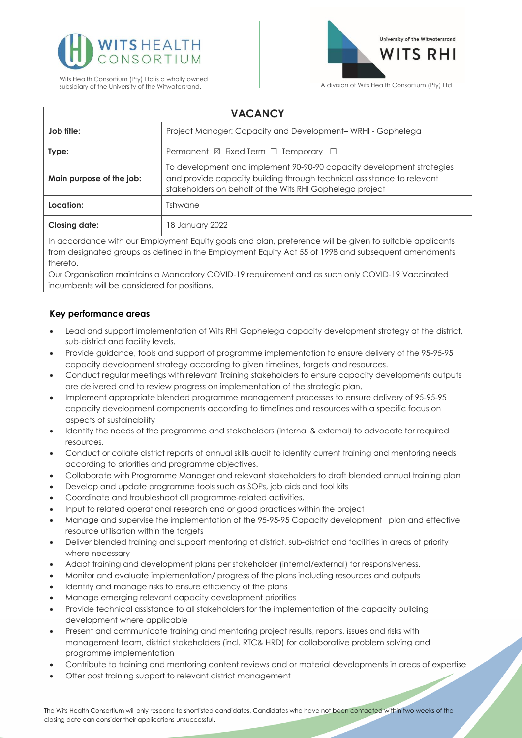



| <b>VACANCY</b>           |                                                                                                                                                                                                             |
|--------------------------|-------------------------------------------------------------------------------------------------------------------------------------------------------------------------------------------------------------|
| Job title:               | Project Manager: Capacity and Development-WRHI - Gophelega                                                                                                                                                  |
| Type:                    | Permanent $\boxtimes$ Fixed Term $\Box$ Temporary $\Box$                                                                                                                                                    |
| Main purpose of the job: | To development and implement 90-90-90 capacity development strategies<br>and provide capacity building through technical assistance to relevant<br>stakeholders on behalf of the Wits RHI Gophelega project |
| Location:                | Tshwane                                                                                                                                                                                                     |
| <b>Closing date:</b>     | 18 January 2022                                                                                                                                                                                             |

In accordance with our Employment Equity goals and plan, preference will be given to suitable applicants from designated groups as defined in the Employment Equity Act 55 of 1998 and subsequent amendments thereto.

Our Organisation maintains a Mandatory COVID-19 requirement and as such only COVID-19 Vaccinated incumbents will be considered for positions.

# **Key performance areas**

- Lead and support implementation of Wits RHI Gophelega capacity development strategy at the district, sub-district and facility levels.
- Provide guidance, tools and support of programme implementation to ensure delivery of the 95-95-95 capacity development strategy according to given timelines, targets and resources.
- Conduct regular meetings with relevant Training stakeholders to ensure capacity developments outputs are delivered and to review progress on implementation of the strategic plan.
- Implement appropriate blended programme management processes to ensure delivery of 95-95-95 capacity development components according to timelines and resources with a specific focus on aspects of sustainability
- Identify the needs of the programme and stakeholders (internal & external) to advocate for required resources.
- Conduct or collate district reports of annual skills audit to identify current training and mentoring needs according to priorities and programme objectives.
- Collaborate with Programme Manager and relevant stakeholders to draft blended annual training plan
- Develop and update programme tools such as SOPs, job aids and tool kits
- Coordinate and troubleshoot all programme-related activities.
- Input to related operational research and or good practices within the project
- Manage and supervise the implementation of the 95-95-95 Capacity development plan and effective resource utilisation within the targets
- Deliver blended training and support mentoring at district, sub-district and facilities in areas of priority where necessary
- Adapt training and development plans per stakeholder (internal/external) for responsiveness.
- Monitor and evaluate implementation/ progress of the plans including resources and outputs
- Identify and manage risks to ensure efficiency of the plans
- Manage emerging relevant capacity development priorities
- Provide technical assistance to all stakeholders for the implementation of the capacity building development where applicable
- Present and communicate training and mentoring project results, reports, issues and risks with management team, district stakeholders (incl. RTC& HRD) for collaborative problem solving and programme implementation
- Contribute to training and mentoring content reviews and or material developments in areas of expertise
- Offer post training support to relevant district management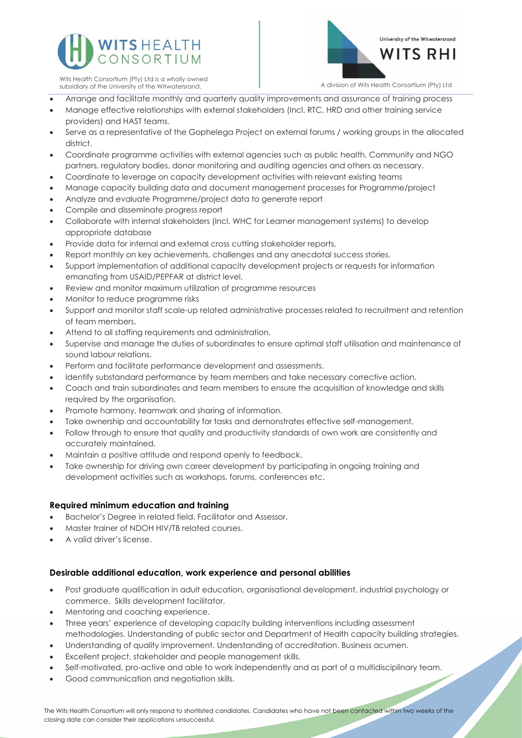



Wits Health Consortium (Pty) Ltd is a wholly owned subsidiary of the University of the Witwatersrand. A division of Wits Health Consortium (Pty) Ltd

- Arrange and facilitate monthly and quarterly quality improvements and assurance of training process
- Manage effective relationships with external stakeholders (Incl. RTC, HRD and other training service providers) and HAST teams.
- Serve as a representative of the Gophelega Project on external forums / working groups in the allocated district.
- Coordinate programme activities with external agencies such as public health, Community and NGO partners, regulatory bodies, donor monitoring and auditing agencies and others as necessary.
- Coordinate to leverage on capacity development activities with relevant existing teams
- Manage capacity building data and document management processes for Programme/project
- Analyze and evaluate Programme/project data to generate report
- Compile and disseminate progress report
- Collaborate with internal stakeholders (Incl. WHC for Learner management systems) to develop appropriate database
- Provide data for internal and external cross cutting stakeholder reports,
- Report monthly on key achievements, challenges and any anecdotal success stories.
- Support implementation of additional capacity development projects or requests for information emanating from USAID/PEPFAR at district level.
- Review and monitor maximum utilization of programme resources
- Monitor to reduce programme risks
- Support and monitor staff scale-up related administrative processes related to recruitment and retention of team members.
- Attend to all staffing requirements and administration.
- Supervise and manage the duties of subordinates to ensure optimal staff utilisation and maintenance of sound labour relations.
- Perform and facilitate performance development and assessments.
- Identify substandard performance by team members and take necessary corrective action.
- Coach and train subordinates and team members to ensure the acquisition of knowledge and skills required by the organisation.
- Promote harmony, teamwork and sharing of information.
- Take ownership and accountability for tasks and demonstrates effective self-management.
- Follow through to ensure that quality and productivity standards of own work are consistently and accurately maintained.
- Maintain a positive attitude and respond openly to feedback.
- Take ownership for driving own career development by participating in ongoing training and development activities such as workshops, forums, conferences etc.

# **Required minimum education and training**

- Bachelor's Degree in related field. Facilitator and Assessor.
- Master trainer of NDOH HIV/TB related courses.
- A valid driver's license.

# **Desirable additional education, work experience and personal abilities**

- Post graduate qualification in adult education, organisational development, industrial psychology or commerce. Skills development facilitator.
- Mentoring and coaching experience.
- Three years' experience of developing capacity building interventions including assessment methodologies. Understanding of public sector and Department of Health capacity building strategies.
- Understanding of quality improvement. Understanding of accreditation. Business acumen.
- Excellent project, stakeholder and people management skills.
- Self-motivated, pro-active and able to work independently and as part of a multidisciplinary team.
- Good communication and negotiation skills.